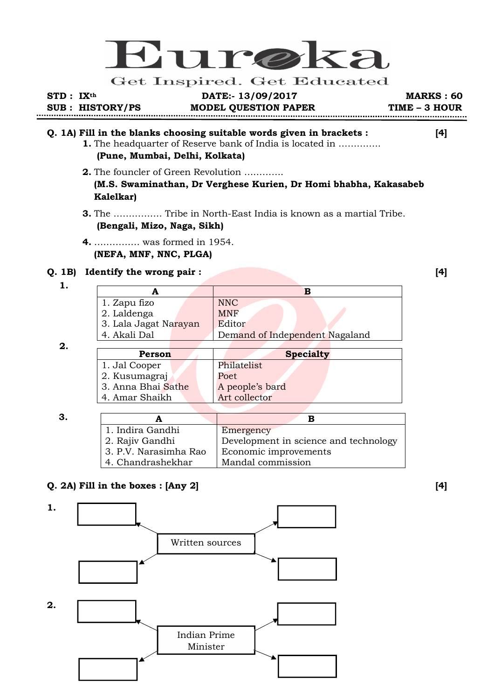

Get Inspired. Get Educated

**STD : IXth DATE:- 13/09/2017 MARKS : 60 SUB : HISTORY/PS MODEL QUESTION PAPER TIME – 3 HOUR** 

## **Q. 1A) Fill in the blanks choosing suitable words given in brackets : [4]**

- **1.** The headquarter of Reserve bank of India is located in ………….. **(Pune, Mumbai, Delhi, Kolkata)**
- **2.** The founcler of Green Revolution …………. **(M.S. Swaminathan, Dr Verghese Kurien, Dr Homi bhabha, Kakasabeb Kalelkar)**
- **3.** The ……………. Tribe in North-East India is known as a martial Tribe. **(Bengali, Mizo, Naga, Sikh)**
- **4.** …………… was formed in 1954. **(NEFA, MNF, NNC, PLGA)**

#### **Q. 1B) Identify the wrong pair : [4]**

 **1.** 

| 1. Zapu fizo          |  | <b>NNC</b>                     |
|-----------------------|--|--------------------------------|
| 2. Laldenga           |  | <b>MNF</b>                     |
| 3. Lala Jagat Narayan |  | Editor                         |
| 4. Akali Dal          |  | Demand of Independent Nagaland |
|                       |  |                                |

 **2.** 

| 1. Indira Gandhi      | Emergency                             |
|-----------------------|---------------------------------------|
| 2. Rajiv Gandhi       | Development in science and technology |
| 3. P.V. Narasimha Rao | Economic improvements                 |
| 4. Chandrashekhar     | Mandal commission                     |

## **Q. 2A) Fill in the boxes : [Any 2] [4]**

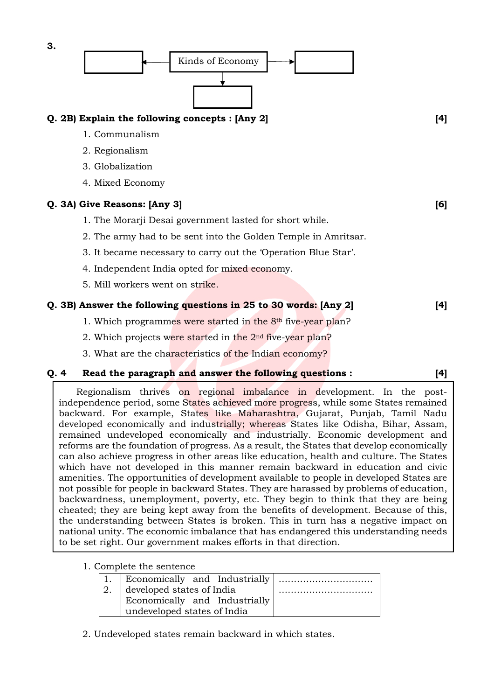

#### **Q. 4 Read the paragraph and answer the following questions : [4]**

Regionalism thrives on regional imbalance in development. In the postindependence period, some States achieved more progress, while some States remained backward. For example, States like Maharashtra, Gujarat, Punjab, Tamil Nadu developed economically and industrially; whereas States like Odisha, Bihar, Assam, remained undeveloped economically and industrially. Economic development and reforms are the foundation of progress. As a result, the States that develop economically can also achieve progress in other areas like education, health and culture. The States which have not developed in this manner remain backward in education and civic amenities. The opportunities of development available to people in developed States are not possible for people in backward States. They are harassed by problems of education, backwardness, unemployment, poverty, etc. They begin to think that they are being cheated; they are being kept away from the benefits of development. Because of this, the understanding between States is broken. This in turn has a negative impact on national unity. The economic imbalance that has endangered this understanding needs to be set right. Our government makes efforts in that direction.

1. Complete the sentence

|    | 1. Economically and Industrially                                                          |  |
|----|-------------------------------------------------------------------------------------------|--|
| 2. | developed states of India<br>Economically and Industrially<br>undeveloped states of India |  |
|    |                                                                                           |  |

2. Undeveloped states remain backward in which states.